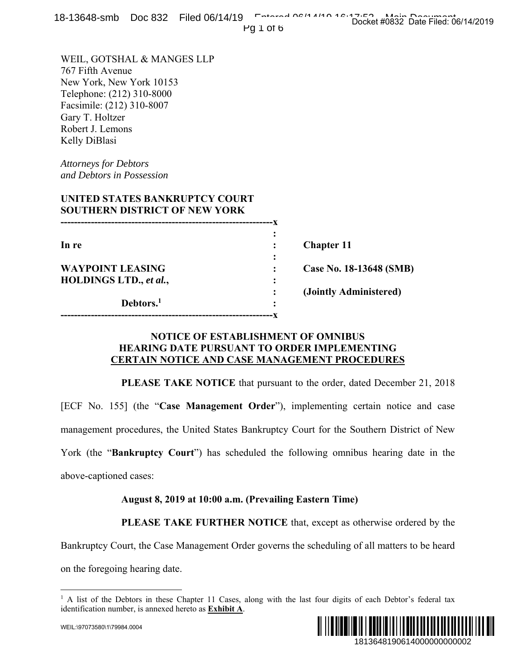|  | 18-13648-smb Doc 832 Filed 06/14/19 February 06/14/10 16:12 Podcat these Data Filed 26 |                                     |  |
|--|----------------------------------------------------------------------------------------|-------------------------------------|--|
|  |                                                                                        | Docket #0832 Date Filed: 06/14/2019 |  |
|  | $110.7$ $0.7k$                                                                         |                                     |  |

Pg 1 of 6

WEIL, GOTSHAL & MANGES LLP 767 Fifth Avenue New York, New York 10153 Telephone: (212) 310-8000 Facsimile: (212) 310-8007 Gary T. Holtzer Robert J. Lemons Kelly DiBlasi

*Attorneys for Debtors and Debtors in Possession* 

### **UNITED STATES BANKRUPTCY COURT SOUTHERN DISTRICT OF NEW YORK**

| In re                   | $\bullet$ | <b>Chapter 11</b>       |
|-------------------------|-----------|-------------------------|
|                         |           |                         |
| <b>WAYPOINT LEASING</b> |           | Case No. 18-13648 (SMB) |
| HOLDINGS LTD., et al.,  | ٠         |                         |
|                         |           | (Jointly Administered)  |
| Debtors. <sup>1</sup>   | ٠         |                         |
|                         |           |                         |

# **NOTICE OF ESTABLISHMENT OF OMNIBUS HEARING DATE PURSUANT TO ORDER IMPLEMENTING CERTAIN NOTICE AND CASE MANAGEMENT PROCEDURES**

**PLEASE TAKE NOTICE** that pursuant to the order, dated December 21, 2018 [ECF No. 155] (the "**Case Management Order**"), implementing certain notice and case management procedures, the United States Bankruptcy Court for the Southern District of New York (the "**Bankruptcy Court**") has scheduled the following omnibus hearing date in the above-captioned cases: 18148 (SMB)<br>
18148 (SMB)<br>
1814848 (SMB)<br>
2015<br>
1814848 (SMB)<br>
2016<br>
2016<br>
2018<br>
2018<br>
2018<br>
2018<br>
2019<br>
2019<br>
2019<br>
2019<br>
2019<br>
2019<br>
2019<br>
2019<br>
2018<br>
2019<br>
2018<br>
2019<br>
2018<br>
2019<br>
2018<br>
2019<br>
2018<br>
2018<br>
2019<br>
2018<br>
201

#### **August 8, 2019 at 10:00 a.m. (Prevailing Eastern Time)**

**PLEASE TAKE FURTHER NOTICE** that, except as otherwise ordered by the

Bankruptcy Court, the Case Management Order governs the scheduling of all matters to be heard

on the foregoing hearing date.

 $\overline{a}$ <sup>1</sup> A list of the Debtors in these Chapter 11 Cases, along with the last four digits of each Debtor's federal tax identification number, is annexed hereto as **Exhibit A**.



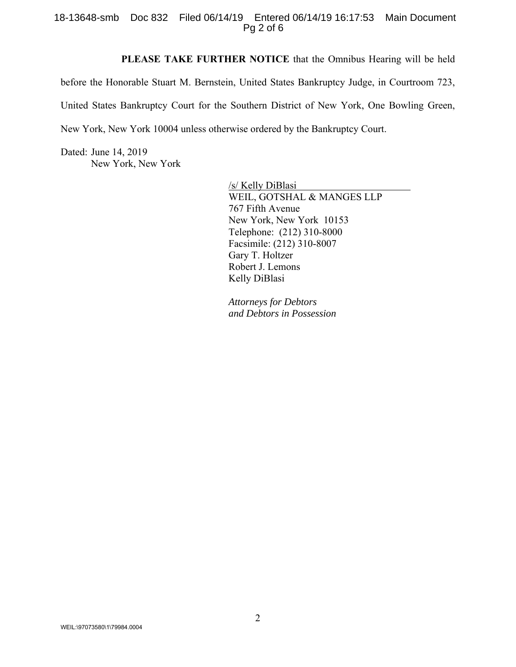#### 18-13648-smb Doc 832 Filed 06/14/19 Entered 06/14/19 16:17:53 Main Document Pg 2 of 6

**PLEASE TAKE FURTHER NOTICE** that the Omnibus Hearing will be held

before the Honorable Stuart M. Bernstein, United States Bankruptcy Judge, in Courtroom 723, United States Bankruptcy Court for the Southern District of New York, One Bowling Green, New York, New York 10004 unless otherwise ordered by the Bankruptcy Court.

Dated: June 14, 2019 New York, New York

> /s/ Kelly DiBlasi WEIL, GOTSHAL & MANGES LLP 767 Fifth Avenue New York, New York 10153 Telephone: (212) 310-8000 Facsimile: (212) 310-8007 Gary T. Holtzer Robert J. Lemons Kelly DiBlasi

*Attorneys for Debtors and Debtors in Possession*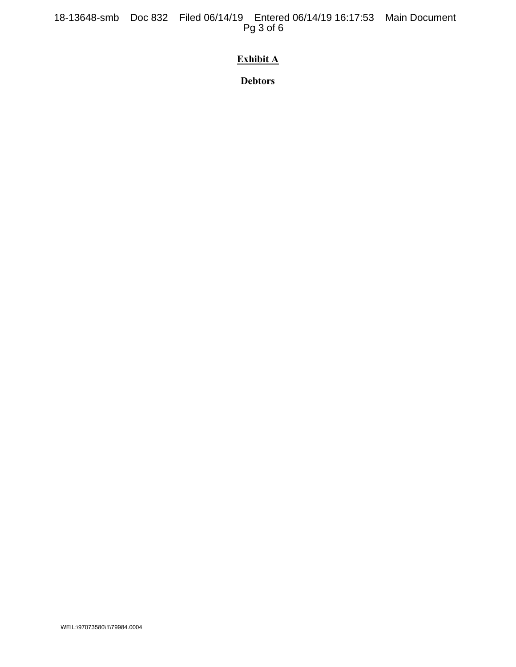18-13648-smb Doc 832 Filed 06/14/19 Entered 06/14/19 16:17:53 Main Document Pg 3 of 6

# **Exhibit A**

**Debtors**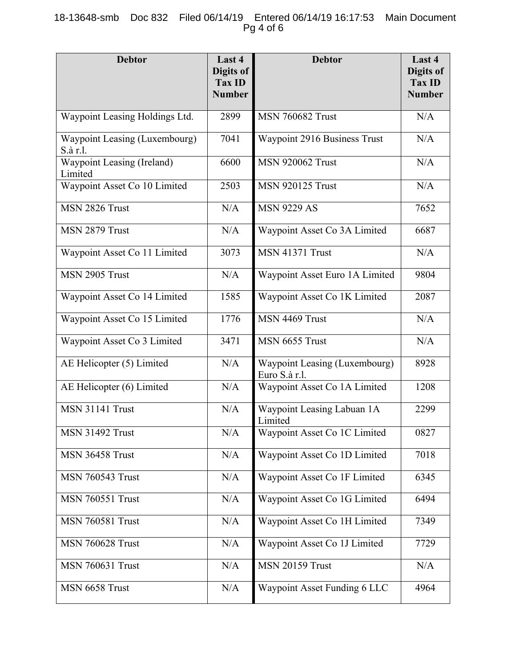# 18-13648-smb Doc 832 Filed 06/14/19 Entered 06/14/19 16:17:53 Main Document Pg 4 of 6

| <b>Debtor</b>                             | Last 4<br>Digits of<br><b>Tax ID</b><br><b>Number</b> | <b>Debtor</b>                                         | Last 4<br>Digits of<br><b>Tax ID</b><br><b>Number</b> |
|-------------------------------------------|-------------------------------------------------------|-------------------------------------------------------|-------------------------------------------------------|
| Waypoint Leasing Holdings Ltd.            | 2899                                                  | <b>MSN 760682 Trust</b>                               | N/A                                                   |
| Waypoint Leasing (Luxembourg)<br>S.à r.l. | 7041                                                  | Waypoint 2916 Business Trust                          | N/A                                                   |
| Waypoint Leasing (Ireland)<br>Limited     | 6600                                                  | <b>MSN 920062 Trust</b>                               | N/A                                                   |
| Waypoint Asset Co 10 Limited              | 2503                                                  | <b>MSN 920125 Trust</b>                               | N/A                                                   |
| MSN 2826 Trust                            | N/A                                                   | <b>MSN 9229 AS</b>                                    | 7652                                                  |
| MSN 2879 Trust                            | N/A                                                   | Waypoint Asset Co 3A Limited                          | 6687                                                  |
| Waypoint Asset Co 11 Limited              | 3073                                                  | <b>MSN 41371 Trust</b>                                | N/A                                                   |
| MSN 2905 Trust                            | N/A                                                   | Waypoint Asset Euro 1A Limited                        | 9804                                                  |
| Waypoint Asset Co 14 Limited              | 1585                                                  | Waypoint Asset Co 1K Limited                          | 2087                                                  |
| Waypoint Asset Co 15 Limited              | 1776                                                  | MSN 4469 Trust                                        | N/A                                                   |
| Waypoint Asset Co 3 Limited               | 3471                                                  | MSN 6655 Trust                                        | N/A                                                   |
| AE Helicopter (5) Limited                 | N/A                                                   | <b>Waypoint Leasing (Luxembourg)</b><br>Euro S.à r.l. | 8928                                                  |
| AE Helicopter (6) Limited                 | N/A                                                   | Waypoint Asset Co 1A Limited                          | 1208                                                  |
| <b>MSN 31141 Trust</b>                    | N/A                                                   | Waypoint Leasing Labuan 1A<br>Limited                 | 2299                                                  |
| <b>MSN 31492 Trust</b>                    | N/A                                                   | Waypoint Asset Co 1C Limited                          | 0827                                                  |
| <b>MSN 36458 Trust</b>                    | N/A                                                   | Waypoint Asset Co 1D Limited                          | 7018                                                  |
| <b>MSN 760543 Trust</b>                   | N/A                                                   | Waypoint Asset Co 1F Limited                          | 6345                                                  |
| <b>MSN 760551 Trust</b>                   | N/A                                                   | Waypoint Asset Co 1G Limited                          | 6494                                                  |
| <b>MSN 760581 Trust</b>                   | N/A                                                   | Waypoint Asset Co 1H Limited                          | 7349                                                  |
| <b>MSN 760628 Trust</b>                   | N/A                                                   | Waypoint Asset Co 1J Limited                          | 7729                                                  |
| <b>MSN 760631 Trust</b>                   | N/A                                                   | <b>MSN 20159 Trust</b>                                | N/A                                                   |
| MSN 6658 Trust                            | N/A                                                   | Waypoint Asset Funding 6 LLC                          | 4964                                                  |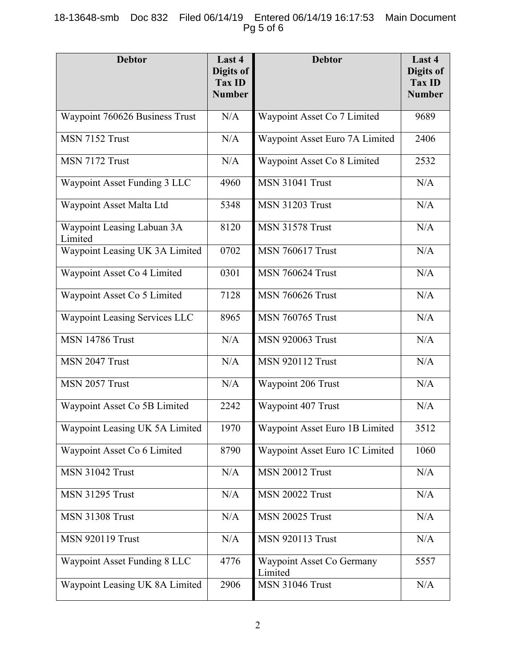# 18-13648-smb Doc 832 Filed 06/14/19 Entered 06/14/19 16:17:53 Main Document Pg 5 of 6

| <b>Debtor</b>                         | Last 4<br>Digits of<br><b>Tax ID</b><br><b>Number</b> | <b>Debtor</b>                        | Last 4<br>Digits of<br><b>Tax ID</b><br><b>Number</b> |
|---------------------------------------|-------------------------------------------------------|--------------------------------------|-------------------------------------------------------|
| Waypoint 760626 Business Trust        | N/A                                                   | Waypoint Asset Co 7 Limited          | 9689                                                  |
| MSN 7152 Trust                        | N/A                                                   | Waypoint Asset Euro 7A Limited       | 2406                                                  |
| MSN 7172 Trust                        | N/A                                                   | Waypoint Asset Co 8 Limited          | 2532                                                  |
| Waypoint Asset Funding 3 LLC          | 4960                                                  | MSN 31041 Trust                      | N/A                                                   |
| Waypoint Asset Malta Ltd              | 5348                                                  | <b>MSN 31203 Trust</b>               | N/A                                                   |
| Waypoint Leasing Labuan 3A<br>Limited | 8120                                                  | <b>MSN 31578 Trust</b>               | N/A                                                   |
| Waypoint Leasing UK 3A Limited        | 0702                                                  | <b>MSN 760617 Trust</b>              | N/A                                                   |
| Waypoint Asset Co 4 Limited           | 0301                                                  | <b>MSN 760624 Trust</b>              | N/A                                                   |
| Waypoint Asset Co 5 Limited           | 7128                                                  | <b>MSN 760626 Trust</b>              | N/A                                                   |
| Waypoint Leasing Services LLC         | 8965                                                  | <b>MSN 760765 Trust</b>              | N/A                                                   |
| <b>MSN 14786 Trust</b>                | N/A                                                   | <b>MSN 920063 Trust</b>              | N/A                                                   |
| MSN 2047 Trust                        | N/A                                                   | <b>MSN 920112 Trust</b>              | N/A                                                   |
| MSN 2057 Trust                        | N/A                                                   | Waypoint 206 Trust                   | N/A                                                   |
| Waypoint Asset Co 5B Limited          | 2242                                                  | Waypoint 407 Trust                   | N/A                                                   |
| Waypoint Leasing UK 5A Limited        | 1970                                                  | Waypoint Asset Euro 1B Limited       | 3512                                                  |
| Waypoint Asset Co 6 Limited           | 8790                                                  | Waypoint Asset Euro 1C Limited       | 1060                                                  |
| <b>MSN 31042 Trust</b>                | N/A                                                   | <b>MSN 20012 Trust</b>               | N/A                                                   |
| <b>MSN 31295 Trust</b>                | N/A                                                   | <b>MSN 20022 Trust</b>               | N/A                                                   |
| <b>MSN 31308 Trust</b>                | N/A                                                   | <b>MSN 20025 Trust</b>               | N/A                                                   |
| <b>MSN 920119 Trust</b>               | N/A                                                   | <b>MSN 920113 Trust</b>              | N/A                                                   |
| Waypoint Asset Funding 8 LLC          | 4776                                                  | Waypoint Asset Co Germany<br>Limited | 5557                                                  |
| Waypoint Leasing UK 8A Limited        | 2906                                                  | <b>MSN 31046 Trust</b>               | N/A                                                   |